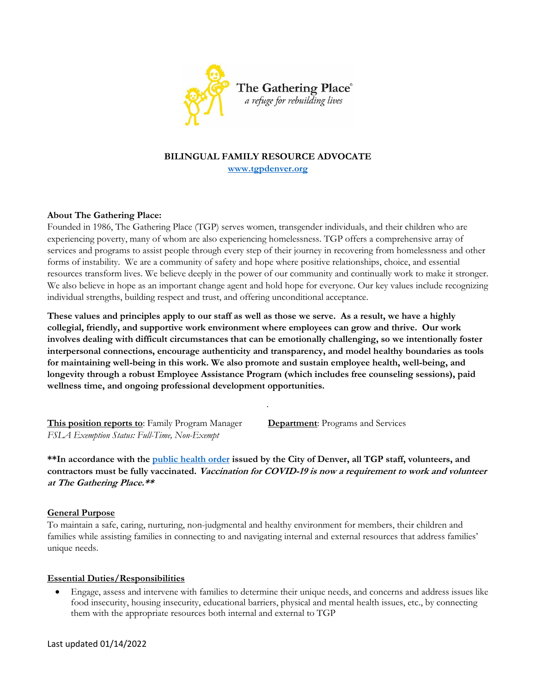

# **BILINGUAL FAMILY RESOURCE ADVOCATE [www.tgpdenver.org](http://www.tgpdenver.org/)**

## **About The Gathering Place:**

Founded in 1986, The Gathering Place (TGP) serves women, transgender individuals, and their children who are experiencing poverty, many of whom are also experiencing homelessness. TGP offers a comprehensive array of services and programs to assist people through every step of their journey in recovering from homelessness and other forms of instability. We are a community of safety and hope where positive relationships, choice, and essential resources transform lives. We believe deeply in the power of our community and continually work to make it stronger. We also believe in hope as an important change agent and hold hope for everyone. Our key values include recognizing individual strengths, building respect and trust, and offering unconditional acceptance.

**These values and principles apply to our staff as well as those we serve. As a result, we have a highly collegial, friendly, and supportive work environment where employees can grow and thrive. Our work involves dealing with difficult circumstances that can be emotionally challenging, so we intentionally foster interpersonal connections, encourage authenticity and transparency, and model healthy boundaries as tools for maintaining well-being in this work. We also promote and sustain employee health, well-being, and longevity through a robust Employee Assistance Program (which includes free counseling sessions), paid wellness time, and ongoing professional development opportunities.**

*.*

**This position reports to**: Family Program Manager **Department**: Programs and Services *FSLA Exemption Status: Full-Time, Non-Exempt* 

**\*\*In accordance with the [public health order](https://urldefense.proofpoint.com/v2/url?u=https-3A__na01.safelinks.protection.outlook.com_-3Furl-3Dhttps-253A-252F-252Fwww.denvergov.org-252FGovernment-252FCOVID-2D19-2DInformation-252FPublic-2DHealth-2DOrders-2DResponse-252FPublic-2DHealth-2DOrders-26data-3D04-257C01-257C-257Cdee2abcb32b446b33e4f08d96d9f2998-257C84df9e7fe9f640afb435aaaaaaaaaaaa-257C1-257C0-257C637661352800106803-257CUnknown-257CTWFpbGZsb3d8eyJWIjoiMC4wLjAwMDAiLCJQIjoiV2luMzIiLCJBTiI6Ik1haWwiLCJXVCI6Mn0-253D-257C1000-26sdata-3DP7nboBceoOdhruC7Q7W1b2EskclJOHGG-252BCdgeqX-252BepY-253D-26reserved-3D0&d=DwMFAg&c=euGZstcaTDllvimEN8b7jXrwqOf-v5A_CdpgnVfiiMM&r=QOLze3-LSN00_XC6BPRS4Qx1n73mL4nxHOD2zriRkPI&m=_snnblaHUiXvl3slhEqpC4oSoFicjqOGfI3Qss1twVw&s=Oxe7J-uoBJwhqv4uKvFzugWi48qydIN316EK-iiRVCg&e=) issued by the City of Denver, all TGP staff, volunteers, and contractors must be fully vaccinated. Vaccination for COVID-19 is now a requirement to work and volunteer at The Gathering Place.\*\***

#### **General Purpose**

To maintain a safe, caring, nurturing, non-judgmental and healthy environment for members, their children and families while assisting families in connecting to and navigating internal and external resources that address families' unique needs.

#### **Essential Duties/Responsibilities**

 Engage, assess and intervene with families to determine their unique needs, and concerns and address issues like food insecurity, housing insecurity, educational barriers, physical and mental health issues, etc., by connecting them with the appropriate resources both internal and external to TGP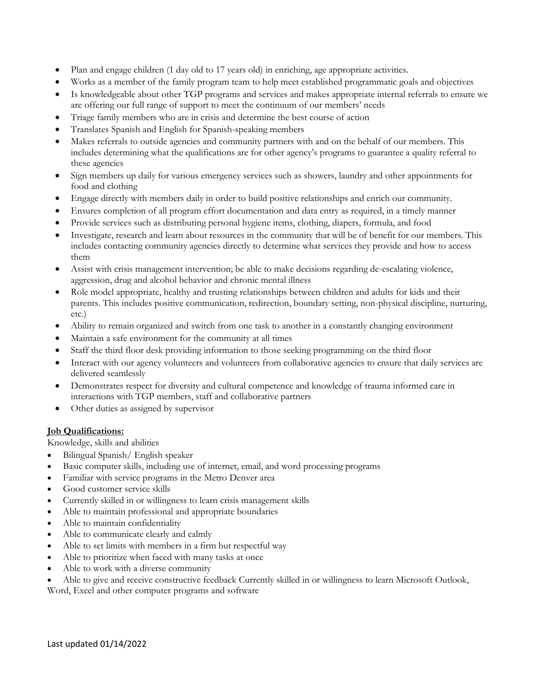- Plan and engage children (1 day old to 17 years old) in enriching, age appropriate activities.
- Works as a member of the family program team to help meet established programmatic goals and objectives
- Is knowledgeable about other TGP programs and services and makes appropriate internal referrals to ensure we are offering our full range of support to meet the continuum of our members' needs
- Triage family members who are in crisis and determine the best course of action
- Translates Spanish and English for Spanish-speaking members
- Makes referrals to outside agencies and community partners with and on the behalf of our members. This includes determining what the qualifications are for other agency's programs to guarantee a quality referral to these agencies
- Sign members up daily for various emergency services such as showers, laundry and other appointments for food and clothing
- Engage directly with members daily in order to build positive relationships and enrich our community.
- Ensures completion of all program effort documentation and data entry as required, in a timely manner
- Provide services such as distributing personal hygiene items, clothing, diapers, formula, and food
- Investigate, research and learn about resources in the community that will be of benefit for our members. This includes contacting community agencies directly to determine what services they provide and how to access them
- Assist with crisis management intervention; be able to make decisions regarding de-escalating violence, aggression, drug and alcohol behavior and chronic mental illness
- Role model appropriate, healthy and trusting relationships between children and adults for kids and their parents. This includes positive communication, redirection, boundary setting, non-physical discipline, nurturing, etc.)
- Ability to remain organized and switch from one task to another in a constantly changing environment
- Maintain a safe environment for the community at all times
- Staff the third floor desk providing information to those seeking programming on the third floor
- Interact with our agency volunteers and volunteers from collaborative agencies to ensure that daily services are delivered seamlessly
- Demonstrates respect for diversity and cultural competence and knowledge of trauma informed care in interactions with TGP members, staff and collaborative partners
- Other duties as assigned by supervisor

## **Job Qualifications:**

Knowledge, skills and abilities

- Bilingual Spanish/ English speaker
- Basic computer skills, including use of internet, email, and word processing programs
- Familiar with service programs in the Metro Denver area
- Good customer service skills
- Currently skilled in or willingness to learn crisis management skills
- Able to maintain professional and appropriate boundaries
- Able to maintain confidentiality
- Able to communicate clearly and calmly
- Able to set limits with members in a firm but respectful way
- Able to prioritize when faced with many tasks at once
- Able to work with a diverse community
- Able to give and receive constructive feedback Currently skilled in or willingness to learn Microsoft Outlook,

Word, Excel and other computer programs and software